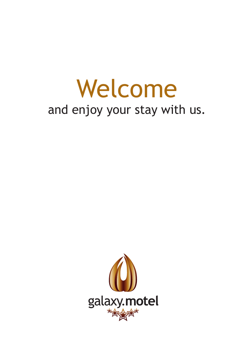# Welcome and enjoy your stay with us.

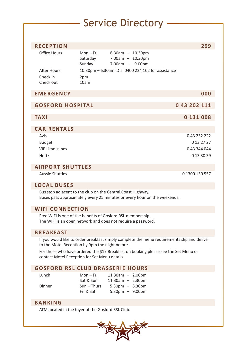# Service Directory

 $\overline{\phantom{a}}$ 

| <b>RECEPTION</b><br><b>Office Hours</b>                                                                                                 |                               |                                                                                                                             |                |  |
|-----------------------------------------------------------------------------------------------------------------------------------------|-------------------------------|-----------------------------------------------------------------------------------------------------------------------------|----------------|--|
|                                                                                                                                         |                               |                                                                                                                             | 299            |  |
|                                                                                                                                         | Mon-Fri<br>Saturday<br>Sunday | $6.30am - 10.30pm$<br>$7.00am - 10.30pm$<br>$7.00am - 9.00pm$                                                               |                |  |
| <b>After Hours</b>                                                                                                                      |                               | 10.30pm - 6.30am Dial 0400 224 102 for assistance                                                                           |                |  |
| Check in<br>Check out                                                                                                                   | 2pm<br>10am                   |                                                                                                                             |                |  |
| <b>EMERGENCY</b>                                                                                                                        |                               |                                                                                                                             | 000            |  |
| <b>GOSFORD HOSPITAL</b>                                                                                                                 |                               |                                                                                                                             | 0 43 202 111   |  |
| <b>TAXI</b>                                                                                                                             |                               |                                                                                                                             | 0 131 008      |  |
| <b>CAR RENTALS</b>                                                                                                                      |                               |                                                                                                                             |                |  |
| Avis                                                                                                                                    |                               |                                                                                                                             | 0 43 232 222   |  |
| <b>Budget</b>                                                                                                                           |                               |                                                                                                                             | 0 13 27 27     |  |
| <b>VIP Limousines</b>                                                                                                                   |                               |                                                                                                                             | 043 344 044    |  |
| Hertz                                                                                                                                   |                               |                                                                                                                             | 0 13 30 39     |  |
| <b>AIRPORT SHUTTLES</b>                                                                                                                 |                               |                                                                                                                             |                |  |
| <b>Aussie Shuttles</b>                                                                                                                  |                               |                                                                                                                             | 0 1300 130 557 |  |
| <b>LOCAL BUSES</b>                                                                                                                      |                               |                                                                                                                             |                |  |
| Bus stop adjacent to the club on the Central Coast Highway.<br>Buses pass approximately every 25 minutes or every hour on the weekends. |                               |                                                                                                                             |                |  |
| <b>WIFI CONNECTION</b>                                                                                                                  |                               |                                                                                                                             |                |  |
|                                                                                                                                         |                               | Free WIFI is one of the benefits of Gosford RSL membership.<br>The WIFI is an open network and does not require a password. |                |  |
| <b>BREAKFAST</b>                                                                                                                        |                               |                                                                                                                             |                |  |
| to the Motel Reception by 9pm the night before.                                                                                         |                               | If you would like to order breakfast simply complete the menu requirements slip and deliver                                 |                |  |
| contact Motel Reception for Set Menu details.                                                                                           |                               | For those who have ordered the \$17 Breakfast on booking please see the Set Menu or                                         |                |  |
|                                                                                                                                         |                               | <b>GOSFORD RSL CLUB BRASSERIE HOURS</b>                                                                                     |                |  |
| Lunch                                                                                                                                   | Mon-Fri<br>Sat & Sun          | $11.30am - 2.00pm$<br>$11.30am - 2.30pm$                                                                                    |                |  |
| Dinner                                                                                                                                  | $Sun - Thus$<br>Fri & Sat     | $5.30 \text{pm} - 8.30 \text{pm}$<br>$5.30 \text{pm} - 9.00 \text{pm}$                                                      |                |  |
| <b>BANKING</b>                                                                                                                          |                               |                                                                                                                             |                |  |
| ATM located in the foyer of the Gosford RSL Club.                                                                                       |                               |                                                                                                                             |                |  |

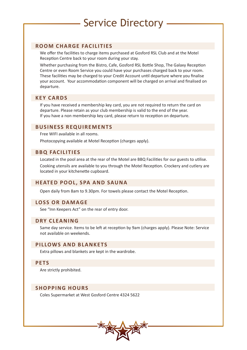# Service Directory

# **ROOM CHARGE FACILITIES**

We offer the facilities to charge items purchased at Gosford RSL Club and at the Motel Reception Centre back to your room during your stay.

Whether purchasing from the Bistro, Cafe, Gosford RSL Bottle Shop, The Galaxy Reception Centre or even Room Service you could have your purchases charged back to your room. These facilities may be charged to your Credit Account until departure where you finalise your account. Your accommodation component will be charged on arrival and finalised on departure.

# **KEY CARDS**

If you have received a membership key card, you are not required to return the card on departure. Please retain as your club membership is valid to the end of the year. If you have a non membership key card, please return to reception on departure.

#### **BUSINESS REQUIREMENTS**

Free WIFI available in all rooms.

Photocopying available at Motel Reception (charges apply).

# **BBQ FACILITIES**

Located in the pool area at the rear of the Motel are BBQ Facilities for our guests to utilise. Cooking utensils are available to you through the Motel Reception. Crockery and cutlery are located in your kitchenette cupboard.

## **HEATED POOL, SPA AND SAUNA**

Open daily from 8am to 9.30pm. For towels please contact the Motel Reception.

# **LOSS OR DAMAGE**

See "Inn Keepers Act" on the rear of entry door.

## **DRY CLEANING**

Same day service. Items to be left at reception by 9am (charges apply). Please Note: Service not available on weekends.

# **PILLOWS AND BLANKETS**

Extra pillows and blankets are kept in the wardrobe.

## **PETS**

Are strictly prohibited.

## **SHOPPING HOURS**

Coles Supermarket at West Gosford Centre 4324 5622

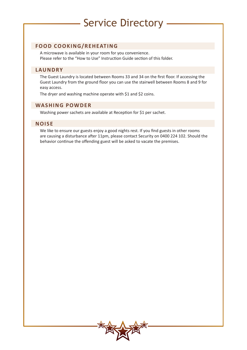# Service Directory

# **FOOD COOKING/REHEATING**

A microwave is available in your room for you convenience. Please refer to the "How to Use" Instruction Guide section of this folder.

#### **LAUNDRY**

The Guest Laundry is located between Rooms 33 and 34 on the first floor. If accessing the Guest Laundry from the ground floor you can use the stairwell between Rooms 8 and 9 for easy access.

The dryer and washing machine operate with \$1 and \$2 coins.

## **WASHING POWDER**

Washing power sachets are available at Reception for \$1 per sachet.

## **NOISE**

We like to ensure our guests enjoy a good nights rest. If you find guests in other rooms are causing a disturbance after 11pm, please contact Security on 0400 224 102. Should the behavior continue the offending guest will be asked to vacate the premises.

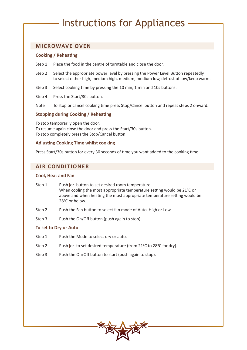# Instructions for Appliances

# **MICROWAVE OVEN**

#### **Cooking / Reheating**

- Step 1 Place the food in the centre of turntable and close the door.
- Step 2 Select the appropriate power level by pressing the Power Level Button repeatedly to select either high, medium high, medium, medium low, defrost of low/keep warm.
- Step 3 Select cooking time by pressing the 10 min, 1 min and 10s buttons.
- Step 4 Press the Start/30s button.
- Note To stop or cancel cooking time press Stop/Cancel button and repeat steps 2 onward.

#### **Stopping during Cooking / Reheating**

To stop temporarily open the door. To resume again close the door and press the Start/30s button. To stop completely press the Stop/Cancel button.

#### **Adjusting Cooking Time whilst cooking**

Press Start/30s button for every 30 seconds of time you want added to the cooking time.

# **AIR CONDITIONER**

#### **Cool, Heat and Fan**

- Step 1 Push or button to set desired room temperature. When cooling the most appropriate temperature setting would be 21°C or above and when heating the most appropriate temperature setting would be 28°C or below.
- Step 2 Push the Fan button to select fan mode of Auto, High or Low.
- Step 3 Push the On/Off button (push again to stop).

#### **To set to Dry or Auto**

- Step 1 Push the Mode to select dry or auto.
- Step 2 Push or to set desired temperature (from 21°C to 28°C for dry).
- Step 3 Push the On/Off button to start (push again to stop).

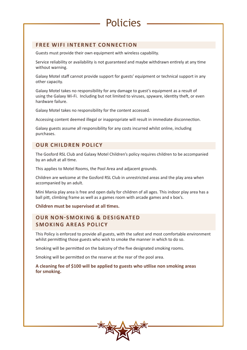# **FREE WIFI INTERNET CONNECTION**

Guests must provide their own equipment with wireless capability.

Service reliability or availability is not guaranteed and maybe withdrawn entirely at any time without warning.

Policies

Galaxy Motel staff cannot provide support for guests' equipment or technical support in any other capacity.

Galaxy Motel takes no responsibility for any damage to guest's equipment as a result of using the Galaxy Wi-Fi. Including but not limited to viruses, spyware, identity theft, or even hardware failure.

Galaxy Motel takes no responsibility for the content accessed.

Accessing content deemed illegal or inappropriate will result in immediate disconnection.

Galaxy guests assume all responsibility for any costs incurred whilst online, including purchases.

# **OUR CHILDREN POLICY**

The Gosford RSL Club and Galaxy Motel Children's policy requires children to be accompanied by an adult at all time.

This applies to Motel Rooms, the Pool Area and adjacent grounds.

Children are welcome at the Gosford RSL Club in unrestricted areas and the play area when accompanied by an adult.

Mini Mania play area is free and open daily for children of all ages. This indoor play area has a ball pitt, climbing frame as well as a games room with arcade games and x box's.

#### **Children must be supervised at all times.**

# **OUR NON-SMOKING & DESIGNATED SMOKING AREAS POLICY**

This Policy is enforced to provide all guests, with the safest and most comfortable environment whilst permitting those guests who wish to smoke the manner in which to do so.

Smoking will be permitted on the balcony of the five designated smoking rooms.

Smoking will be permitted on the reserve at the rear of the pool area.

#### **A cleaning fee of \$100 will be applied to guests who utilise non smoking areas for smoking.**

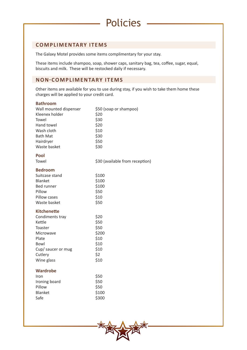# **COMPLIMENTARY ITEMS**

The Galaxy Motel provides some items complimentary for your stay.

These items include shampoo, soap, shower caps, sanitary bag, tea, coffee, sugar, equal, biscuits and milk. These will be restocked daily if necessary.

Policies

# **NON-COMPLIMENTARY ITEMS**

Other items are available for you to use during stay, if you wish to take them home these charges will be applied to your credit card.

| <b>Bathroom</b>        |                                 |  |
|------------------------|---------------------------------|--|
| Wall mounted dispenser | \$50 (soap or shampoo)          |  |
| Kleenex holder         | \$20                            |  |
| Towel                  | \$30                            |  |
| Hand towel             | \$20                            |  |
| Wash cloth             | \$10                            |  |
| <b>Bath Mat</b>        | \$30                            |  |
| Hairdryer              | \$50                            |  |
| Waste basket           | \$30                            |  |
| Pool                   |                                 |  |
| Towel                  | \$30 (available from reception) |  |
| <b>Bedroom</b>         |                                 |  |
| Suitcase stand         | \$100                           |  |
| Blanket                | \$100                           |  |
| <b>Bed runner</b>      | \$100                           |  |
| Pillow                 | \$50                            |  |
| Pillow cases           | \$10                            |  |
| Waste basket           | \$50                            |  |
| <b>Kitchenette</b>     |                                 |  |
| Condiments tray        | \$20                            |  |
| Kettle                 | \$50                            |  |
| Toaster                | \$50                            |  |
| Microwave              | \$200                           |  |
| Plate                  | \$10                            |  |
| Bowl                   | \$10                            |  |
| Cup/ saucer or mug     | \$10                            |  |
| Cutlery                | \$2                             |  |
| Wine glass             | \$10                            |  |
| <b>Wardrobe</b>        |                                 |  |
| Iron                   | \$50                            |  |
| Ironing board          | \$50                            |  |
| Pillow                 | \$50                            |  |
| <b>Blanket</b>         | \$100                           |  |

Safe \$300